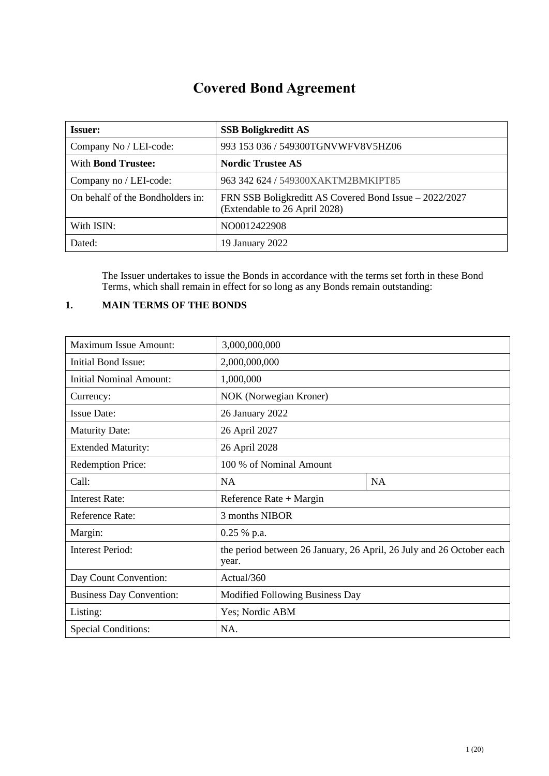# **Covered Bond Agreement**

| <b>Issuer:</b>                   | <b>SSB Boligkreditt AS</b>                                                              |
|----------------------------------|-----------------------------------------------------------------------------------------|
| Company No / LEI-code:           | 993 153 036 / 549300TGNVWFV8V5HZ06                                                      |
| With <b>Bond Trustee:</b>        | <b>Nordic Trustee AS</b>                                                                |
| Company no / LEI-code:           | 963 342 624 / 549300XAKTM2BMKIPT85                                                      |
| On behalf of the Bondholders in: | FRN SSB Boligkreditt AS Covered Bond Issue – 2022/2027<br>(Extendable to 26 April 2028) |
| With ISIN:                       | NO0012422908                                                                            |
| Dated:                           | 19 January 2022                                                                         |

The Issuer undertakes to issue the Bonds in accordance with the terms set forth in these Bond Terms, which shall remain in effect for so long as any Bonds remain outstanding:

# <span id="page-0-0"></span>**1. MAIN TERMS OF THE BONDS**

| <b>Maximum Issue Amount:</b>    | 3,000,000,000                                                                 |           |
|---------------------------------|-------------------------------------------------------------------------------|-----------|
| Initial Bond Issue:             | 2,000,000,000                                                                 |           |
| <b>Initial Nominal Amount:</b>  | 1,000,000                                                                     |           |
| Currency:                       | NOK (Norwegian Kroner)                                                        |           |
| <b>Issue Date:</b>              | 26 January 2022                                                               |           |
| <b>Maturity Date:</b>           | 26 April 2027                                                                 |           |
| <b>Extended Maturity:</b>       | 26 April 2028                                                                 |           |
| <b>Redemption Price:</b>        | 100 % of Nominal Amount                                                       |           |
| Call:                           | <b>NA</b>                                                                     | <b>NA</b> |
| <b>Interest Rate:</b>           | Reference Rate $+$ Margin                                                     |           |
| Reference Rate:                 | 3 months NIBOR                                                                |           |
| Margin:                         | 0.25 % p.a.                                                                   |           |
| <b>Interest Period:</b>         | the period between 26 January, 26 April, 26 July and 26 October each<br>year. |           |
| Day Count Convention:           | Actual/360                                                                    |           |
| <b>Business Day Convention:</b> | Modified Following Business Day                                               |           |
| Listing:                        | Yes; Nordic ABM                                                               |           |
| <b>Special Conditions:</b>      | NA.                                                                           |           |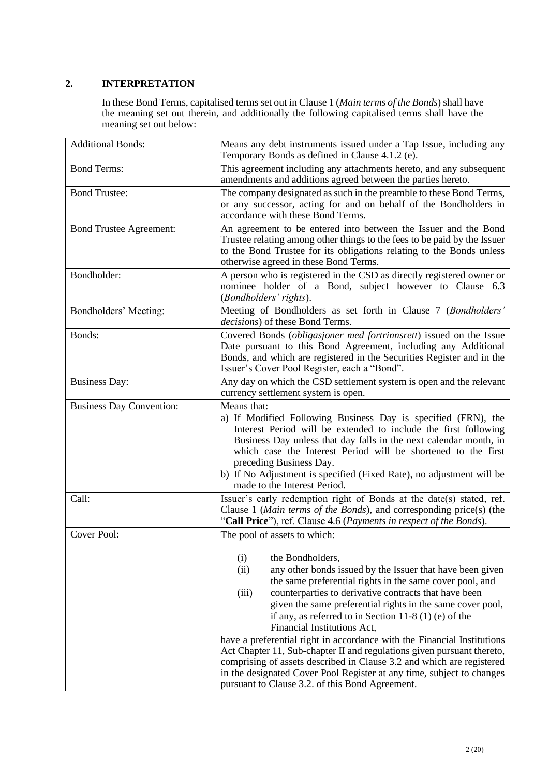# **2. INTERPRETATION**

In these Bond Terms, capitalised terms set out in Claus[e 1](#page-0-0) (*Main terms of the Bonds*) shall have the meaning set out therein, and additionally the following capitalised terms shall have the meaning set out below:

| <b>Additional Bonds:</b>        | Means any debt instruments issued under a Tap Issue, including any<br>Temporary Bonds as defined in Clause 4.1.2 (e).                                                                                                                                                                                                                                                                                                                                                                                                                                                                                                                                                                                                                                                      |
|---------------------------------|----------------------------------------------------------------------------------------------------------------------------------------------------------------------------------------------------------------------------------------------------------------------------------------------------------------------------------------------------------------------------------------------------------------------------------------------------------------------------------------------------------------------------------------------------------------------------------------------------------------------------------------------------------------------------------------------------------------------------------------------------------------------------|
| <b>Bond Terms:</b>              | This agreement including any attachments hereto, and any subsequent<br>amendments and additions agreed between the parties hereto.                                                                                                                                                                                                                                                                                                                                                                                                                                                                                                                                                                                                                                         |
| <b>Bond Trustee:</b>            | The company designated as such in the preamble to these Bond Terms,<br>or any successor, acting for and on behalf of the Bondholders in<br>accordance with these Bond Terms.                                                                                                                                                                                                                                                                                                                                                                                                                                                                                                                                                                                               |
| <b>Bond Trustee Agreement:</b>  | An agreement to be entered into between the Issuer and the Bond<br>Trustee relating among other things to the fees to be paid by the Issuer<br>to the Bond Trustee for its obligations relating to the Bonds unless<br>otherwise agreed in these Bond Terms.                                                                                                                                                                                                                                                                                                                                                                                                                                                                                                               |
| Bondholder:                     | A person who is registered in the CSD as directly registered owner or<br>nominee holder of a Bond, subject however to Clause 6.3<br>(Bondholders' rights).                                                                                                                                                                                                                                                                                                                                                                                                                                                                                                                                                                                                                 |
| Bondholders' Meeting:           | Meeting of Bondholders as set forth in Clause 7 (Bondholders'<br><i>decisions</i> ) of these Bond Terms.                                                                                                                                                                                                                                                                                                                                                                                                                                                                                                                                                                                                                                                                   |
| Bonds:                          | Covered Bonds (obligasjoner med fortrinnsrett) issued on the Issue<br>Date pursuant to this Bond Agreement, including any Additional<br>Bonds, and which are registered in the Securities Register and in the<br>Issuer's Cover Pool Register, each a "Bond".                                                                                                                                                                                                                                                                                                                                                                                                                                                                                                              |
| <b>Business Day:</b>            | Any day on which the CSD settlement system is open and the relevant<br>currency settlement system is open.                                                                                                                                                                                                                                                                                                                                                                                                                                                                                                                                                                                                                                                                 |
| <b>Business Day Convention:</b> | Means that:<br>a) If Modified Following Business Day is specified (FRN), the<br>Interest Period will be extended to include the first following<br>Business Day unless that day falls in the next calendar month, in<br>which case the Interest Period will be shortened to the first<br>preceding Business Day.<br>b) If No Adjustment is specified (Fixed Rate), no adjustment will be<br>made to the Interest Period.                                                                                                                                                                                                                                                                                                                                                   |
| Call:                           | Issuer's early redemption right of Bonds at the date(s) stated, ref.<br>Clause 1 (Main terms of the Bonds), and corresponding price(s) (the<br>"Call Price"), ref. Clause 4.6 (Payments in respect of the Bonds).                                                                                                                                                                                                                                                                                                                                                                                                                                                                                                                                                          |
| Cover Pool:                     | The pool of assets to which:<br>(i)<br>the Bondholders,<br>(ii)<br>any other bonds issued by the Issuer that have been given<br>the same preferential rights in the same cover pool, and<br>counterparties to derivative contracts that have been<br>(iii)<br>given the same preferential rights in the same cover pool,<br>if any, as referred to in Section 11-8 (1) (e) of the<br>Financial Institutions Act,<br>have a preferential right in accordance with the Financial Institutions<br>Act Chapter 11, Sub-chapter II and regulations given pursuant thereto,<br>comprising of assets described in Clause 3.2 and which are registered<br>in the designated Cover Pool Register at any time, subject to changes<br>pursuant to Clause 3.2. of this Bond Agreement. |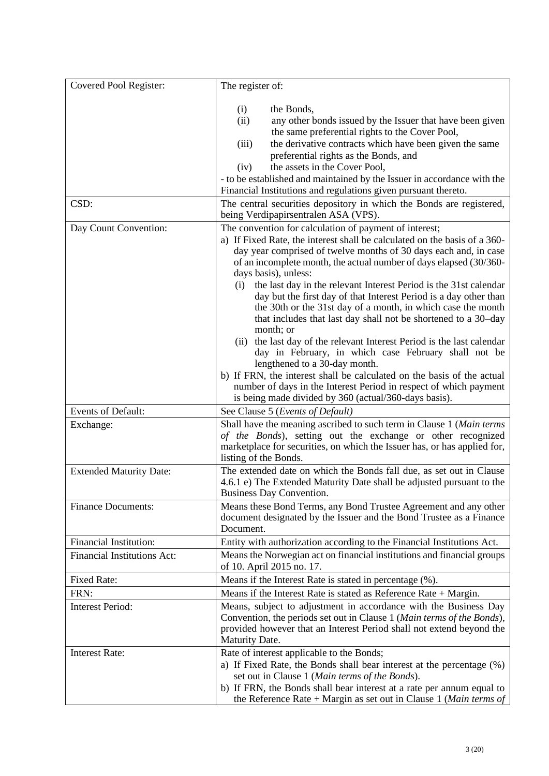| Covered Pool Register:             | The register of:                                                                                                                                                                                                                                                                                                                                                                                                                                                                                                                                                                                                                                                                                                                                                                                                                                                                                                                                                              |
|------------------------------------|-------------------------------------------------------------------------------------------------------------------------------------------------------------------------------------------------------------------------------------------------------------------------------------------------------------------------------------------------------------------------------------------------------------------------------------------------------------------------------------------------------------------------------------------------------------------------------------------------------------------------------------------------------------------------------------------------------------------------------------------------------------------------------------------------------------------------------------------------------------------------------------------------------------------------------------------------------------------------------|
|                                    | (i)<br>the Bonds,<br>(ii)<br>any other bonds issued by the Issuer that have been given<br>the same preferential rights to the Cover Pool,<br>the derivative contracts which have been given the same<br>(iii)<br>preferential rights as the Bonds, and<br>the assets in the Cover Pool,<br>(iv)<br>- to be established and maintained by the Issuer in accordance with the<br>Financial Institutions and regulations given pursuant thereto.                                                                                                                                                                                                                                                                                                                                                                                                                                                                                                                                  |
| CSD:                               | The central securities depository in which the Bonds are registered,<br>being Verdipapirsentralen ASA (VPS).                                                                                                                                                                                                                                                                                                                                                                                                                                                                                                                                                                                                                                                                                                                                                                                                                                                                  |
| Day Count Convention:              | The convention for calculation of payment of interest;<br>a) If Fixed Rate, the interest shall be calculated on the basis of a 360-<br>day year comprised of twelve months of 30 days each and, in case<br>of an incomplete month, the actual number of days elapsed (30/360-<br>days basis), unless:<br>(i) the last day in the relevant Interest Period is the 31st calendar<br>day but the first day of that Interest Period is a day other than<br>the 30th or the 31st day of a month, in which case the month<br>that includes that last day shall not be shortened to a 30-day<br>month; or<br>(ii) the last day of the relevant Interest Period is the last calendar<br>day in February, in which case February shall not be<br>lengthened to a 30-day month.<br>b) If FRN, the interest shall be calculated on the basis of the actual<br>number of days in the Interest Period in respect of which payment<br>is being made divided by 360 (actual/360-days basis). |
| <b>Events of Default:</b>          | See Clause 5 (Events of Default)                                                                                                                                                                                                                                                                                                                                                                                                                                                                                                                                                                                                                                                                                                                                                                                                                                                                                                                                              |
| Exchange:                          | Shall have the meaning ascribed to such term in Clause 1 (Main terms<br>of the Bonds), setting out the exchange or other recognized<br>marketplace for securities, on which the Issuer has, or has applied for,<br>listing of the Bonds.                                                                                                                                                                                                                                                                                                                                                                                                                                                                                                                                                                                                                                                                                                                                      |
| <b>Extended Maturity Date:</b>     | The extended date on which the Bonds fall due, as set out in Clause<br>4.6.1 e) The Extended Maturity Date shall be adjusted pursuant to the<br>Business Day Convention.                                                                                                                                                                                                                                                                                                                                                                                                                                                                                                                                                                                                                                                                                                                                                                                                      |
| <b>Finance Documents:</b>          | Means these Bond Terms, any Bond Trustee Agreement and any other<br>document designated by the Issuer and the Bond Trustee as a Finance<br>Document.                                                                                                                                                                                                                                                                                                                                                                                                                                                                                                                                                                                                                                                                                                                                                                                                                          |
| <b>Financial Institution:</b>      | Entity with authorization according to the Financial Institutions Act.                                                                                                                                                                                                                                                                                                                                                                                                                                                                                                                                                                                                                                                                                                                                                                                                                                                                                                        |
| <b>Financial Institutions Act:</b> | Means the Norwegian act on financial institutions and financial groups<br>of 10. April 2015 no. 17.                                                                                                                                                                                                                                                                                                                                                                                                                                                                                                                                                                                                                                                                                                                                                                                                                                                                           |
| <b>Fixed Rate:</b>                 | Means if the Interest Rate is stated in percentage (%).                                                                                                                                                                                                                                                                                                                                                                                                                                                                                                                                                                                                                                                                                                                                                                                                                                                                                                                       |
| FRN:                               | Means if the Interest Rate is stated as Reference Rate $+$ Margin.                                                                                                                                                                                                                                                                                                                                                                                                                                                                                                                                                                                                                                                                                                                                                                                                                                                                                                            |
| <b>Interest Period:</b>            | Means, subject to adjustment in accordance with the Business Day<br>Convention, the periods set out in Clause 1 (Main terms of the Bonds),<br>provided however that an Interest Period shall not extend beyond the<br>Maturity Date.                                                                                                                                                                                                                                                                                                                                                                                                                                                                                                                                                                                                                                                                                                                                          |
| <b>Interest Rate:</b>              | Rate of interest applicable to the Bonds;<br>a) If Fixed Rate, the Bonds shall bear interest at the percentage (%)<br>set out in Clause 1 (Main terms of the Bonds).<br>b) If FRN, the Bonds shall bear interest at a rate per annum equal to<br>the Reference Rate + Margin as set out in Clause 1 ( <i>Main terms of</i>                                                                                                                                                                                                                                                                                                                                                                                                                                                                                                                                                                                                                                                    |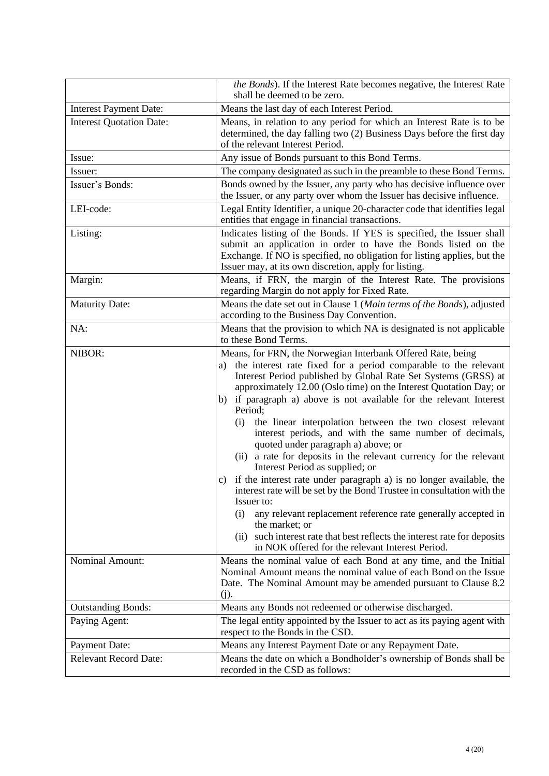|                                 | the Bonds). If the Interest Rate becomes negative, the Interest Rate<br>shall be deemed to be zero.                                                                                                                                                                                                                                                                                                                                                                                                                                                                                                                                                                                                                                                                                                                                                                                                                                                                                                                                    |
|---------------------------------|----------------------------------------------------------------------------------------------------------------------------------------------------------------------------------------------------------------------------------------------------------------------------------------------------------------------------------------------------------------------------------------------------------------------------------------------------------------------------------------------------------------------------------------------------------------------------------------------------------------------------------------------------------------------------------------------------------------------------------------------------------------------------------------------------------------------------------------------------------------------------------------------------------------------------------------------------------------------------------------------------------------------------------------|
| <b>Interest Payment Date:</b>   | Means the last day of each Interest Period.                                                                                                                                                                                                                                                                                                                                                                                                                                                                                                                                                                                                                                                                                                                                                                                                                                                                                                                                                                                            |
| <b>Interest Quotation Date:</b> | Means, in relation to any period for which an Interest Rate is to be<br>determined, the day falling two (2) Business Days before the first day<br>of the relevant Interest Period.                                                                                                                                                                                                                                                                                                                                                                                                                                                                                                                                                                                                                                                                                                                                                                                                                                                     |
| Issue:                          | Any issue of Bonds pursuant to this Bond Terms.                                                                                                                                                                                                                                                                                                                                                                                                                                                                                                                                                                                                                                                                                                                                                                                                                                                                                                                                                                                        |
| Issuer:                         | The company designated as such in the preamble to these Bond Terms.                                                                                                                                                                                                                                                                                                                                                                                                                                                                                                                                                                                                                                                                                                                                                                                                                                                                                                                                                                    |
| Issuer's Bonds:                 | Bonds owned by the Issuer, any party who has decisive influence over<br>the Issuer, or any party over whom the Issuer has decisive influence.                                                                                                                                                                                                                                                                                                                                                                                                                                                                                                                                                                                                                                                                                                                                                                                                                                                                                          |
| LEI-code:                       | Legal Entity Identifier, a unique 20-character code that identifies legal<br>entities that engage in financial transactions.                                                                                                                                                                                                                                                                                                                                                                                                                                                                                                                                                                                                                                                                                                                                                                                                                                                                                                           |
| Listing:                        | Indicates listing of the Bonds. If YES is specified, the Issuer shall<br>submit an application in order to have the Bonds listed on the<br>Exchange. If NO is specified, no obligation for listing applies, but the<br>Issuer may, at its own discretion, apply for listing.                                                                                                                                                                                                                                                                                                                                                                                                                                                                                                                                                                                                                                                                                                                                                           |
| Margin:                         | Means, if FRN, the margin of the Interest Rate. The provisions<br>regarding Margin do not apply for Fixed Rate.                                                                                                                                                                                                                                                                                                                                                                                                                                                                                                                                                                                                                                                                                                                                                                                                                                                                                                                        |
| <b>Maturity Date:</b>           | Means the date set out in Clause 1 (Main terms of the Bonds), adjusted<br>according to the Business Day Convention.                                                                                                                                                                                                                                                                                                                                                                                                                                                                                                                                                                                                                                                                                                                                                                                                                                                                                                                    |
| NA:                             | Means that the provision to which NA is designated is not applicable<br>to these Bond Terms.                                                                                                                                                                                                                                                                                                                                                                                                                                                                                                                                                                                                                                                                                                                                                                                                                                                                                                                                           |
| NIBOR:                          | Means, for FRN, the Norwegian Interbank Offered Rate, being<br>the interest rate fixed for a period comparable to the relevant<br>a)<br>Interest Period published by Global Rate Set Systems (GRSS) at<br>approximately 12.00 (Oslo time) on the Interest Quotation Day; or<br>b) if paragraph a) above is not available for the relevant Interest<br>Period;<br>the linear interpolation between the two closest relevant<br>(i)<br>interest periods, and with the same number of decimals,<br>quoted under paragraph a) above; or<br>(ii) a rate for deposits in the relevant currency for the relevant<br>Interest Period as supplied; or<br>if the interest rate under paragraph a) is no longer available, the<br>interest rate will be set by the Bond Trustee in consultation with the<br>Issuer to:<br>(i)<br>any relevant replacement reference rate generally accepted in<br>the market; or<br>(ii) such interest rate that best reflects the interest rate for deposits<br>in NOK offered for the relevant Interest Period. |
| Nominal Amount:                 | Means the nominal value of each Bond at any time, and the Initial<br>Nominal Amount means the nominal value of each Bond on the Issue<br>Date. The Nominal Amount may be amended pursuant to Clause 8.2<br>(j).                                                                                                                                                                                                                                                                                                                                                                                                                                                                                                                                                                                                                                                                                                                                                                                                                        |
| <b>Outstanding Bonds:</b>       | Means any Bonds not redeemed or otherwise discharged.                                                                                                                                                                                                                                                                                                                                                                                                                                                                                                                                                                                                                                                                                                                                                                                                                                                                                                                                                                                  |
| Paying Agent:                   | The legal entity appointed by the Issuer to act as its paying agent with<br>respect to the Bonds in the CSD.                                                                                                                                                                                                                                                                                                                                                                                                                                                                                                                                                                                                                                                                                                                                                                                                                                                                                                                           |
| <b>Payment Date:</b>            | Means any Interest Payment Date or any Repayment Date.                                                                                                                                                                                                                                                                                                                                                                                                                                                                                                                                                                                                                                                                                                                                                                                                                                                                                                                                                                                 |
| <b>Relevant Record Date:</b>    | Means the date on which a Bondholder's ownership of Bonds shall be<br>recorded in the CSD as follows:                                                                                                                                                                                                                                                                                                                                                                                                                                                                                                                                                                                                                                                                                                                                                                                                                                                                                                                                  |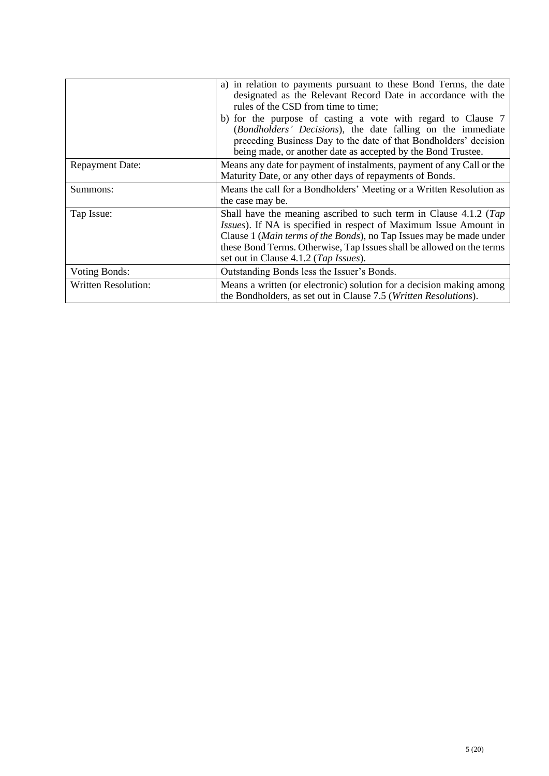|                            | a) in relation to payments pursuant to these Bond Terms, the date<br>designated as the Relevant Record Date in accordance with the<br>rules of the CSD from time to time;<br>b) for the purpose of casting a vote with regard to Clause 7<br>(Bondholders' Decisions), the date falling on the immediate<br>preceding Business Day to the date of that Bondholders' decision<br>being made, or another date as accepted by the Bond Trustee. |
|----------------------------|----------------------------------------------------------------------------------------------------------------------------------------------------------------------------------------------------------------------------------------------------------------------------------------------------------------------------------------------------------------------------------------------------------------------------------------------|
| <b>Repayment Date:</b>     | Means any date for payment of instalments, payment of any Call or the<br>Maturity Date, or any other days of repayments of Bonds.                                                                                                                                                                                                                                                                                                            |
| Summons:                   | Means the call for a Bondholders' Meeting or a Written Resolution as<br>the case may be.                                                                                                                                                                                                                                                                                                                                                     |
| Tap Issue:                 | Shall have the meaning ascribed to such term in Clause 4.1.2 (Tap<br>Issues). If NA is specified in respect of Maximum Issue Amount in<br>Clause 1 (Main terms of the Bonds), no Tap Issues may be made under<br>these Bond Terms. Otherwise, Tap Issues shall be allowed on the terms<br>set out in Clause 4.1.2 (Tap Issues).                                                                                                              |
| <b>Voting Bonds:</b>       | Outstanding Bonds less the Issuer's Bonds.                                                                                                                                                                                                                                                                                                                                                                                                   |
| <b>Written Resolution:</b> | Means a written (or electronic) solution for a decision making among<br>the Bondholders, as set out in Clause 7.5 ( <i>Written Resolutions</i> ).                                                                                                                                                                                                                                                                                            |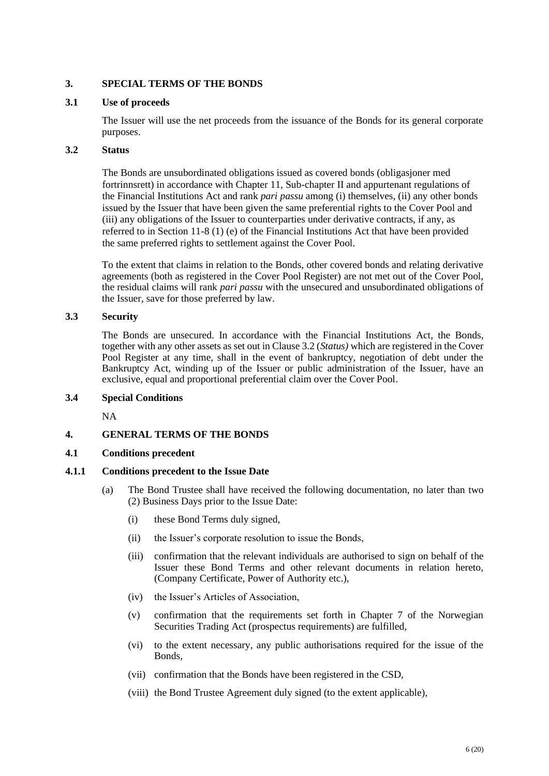## **3. SPECIAL TERMS OF THE BONDS**

## **3.1 Use of proceeds**

The Issuer will use the net proceeds from the issuance of the Bonds for its general corporate purposes.

## **3.2 Status**

The Bonds are unsubordinated obligations issued as covered bonds (obligasjoner med fortrinnsrett) in accordance with Chapter 11, Sub-chapter II and appurtenant regulations of the Financial Institutions Act and rank *pari passu* among (i) themselves, (ii) any other bonds issued by the Issuer that have been given the same preferential rights to the Cover Pool and (iii) any obligations of the Issuer to counterparties under derivative contracts, if any, as referred to in Section 11-8 (1) (e) of the Financial Institutions Act that have been provided the same preferred rights to settlement against the Cover Pool.

To the extent that claims in relation to the Bonds, other covered bonds and relating derivative agreements (both as registered in the Cover Pool Register) are not met out of the Cover Pool, the residual claims will rank *pari passu* with the unsecured and unsubordinated obligations of the Issuer, save for those preferred by law.

## **3.3 Security**

The Bonds are unsecured. In accordance with the Financial Institutions Act, the Bonds, together with any other assets as set out in Clause 3.2 (*Status)* which are registered in the Cover Pool Register at any time, shall in the event of bankruptcy, negotiation of debt under the Bankruptcy Act, winding up of the Issuer or public administration of the Issuer, have an exclusive, equal and proportional preferential claim over the Cover Pool.

## **3.4 Special Conditions**

NA

# **4. GENERAL TERMS OF THE BONDS**

## <span id="page-5-0"></span>**4.1 Conditions precedent**

## **4.1.1 Conditions precedent to the Issue Date**

- (a) The Bond Trustee shall have received the following documentation, no later than two (2) Business Days prior to the Issue Date:
	- (i) these Bond Terms duly signed,
	- (ii) the Issuer's corporate resolution to issue the Bonds,
	- (iii) confirmation that the relevant individuals are authorised to sign on behalf of the Issuer these Bond Terms and other relevant documents in relation hereto, (Company Certificate, Power of Authority etc.),
	- (iv) the Issuer's Articles of Association,
	- (v) confirmation that the requirements set forth in Chapter 7 of the Norwegian Securities Trading Act (prospectus requirements) are fulfilled,
	- (vi) to the extent necessary, any public authorisations required for the issue of the Bonds,
	- (vii) confirmation that the Bonds have been registered in the CSD,
	- (viii) the Bond Trustee Agreement duly signed (to the extent applicable),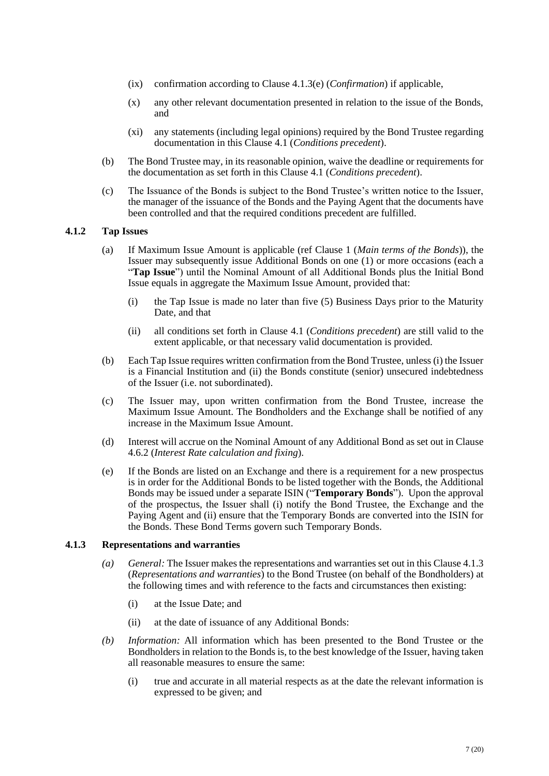- (ix) confirmation according to Clause [4.1.3\(e\)](#page-7-0) (*Confirmation*) if applicable,
- (x) any other relevant documentation presented in relation to the issue of the Bonds, and
- (xi) any statements (including legal opinions) required by the Bond Trustee regarding documentation in this Clause [4.1](#page-5-0) (*Conditions precedent*).
- (b) The Bond Trustee may, in its reasonable opinion, waive the deadline or requirements for the documentation as set forth in this Clause [4.1](#page-5-0) (*Conditions precedent*).
- (c) The Issuance of the Bonds is subject to the Bond Trustee's written notice to the Issuer, the manager of the issuance of the Bonds and the Paying Agent that the documents have been controlled and that the required conditions precedent are fulfilled.

#### <span id="page-6-0"></span>**4.1.2 Tap Issues**

- (a) If Maximum Issue Amount is applicable (ref Clause 1 (*Main terms of the Bonds*)), the Issuer may subsequently issue Additional Bonds on one (1) or more occasions (each a "**Tap Issue**") until the Nominal Amount of all Additional Bonds plus the Initial Bond Issue equals in aggregate the Maximum Issue Amount, provided that:
	- (i) the Tap Issue is made no later than five (5) Business Days prior to the Maturity Date, and that
	- (ii) all conditions set forth in Clause [4.1](#page-5-0) (*Conditions precedent*) are still valid to the extent applicable, or that necessary valid documentation is provided.
- (b) Each Tap Issue requires written confirmation from the Bond Trustee, unless (i) the Issuer is a Financial Institution and (ii) the Bonds constitute (senior) unsecured indebtedness of the Issuer (i.e. not subordinated).
- (c) The Issuer may, upon written confirmation from the Bond Trustee, increase the Maximum Issue Amount. The Bondholders and the Exchange shall be notified of any increase in the Maximum Issue Amount.
- (d) Interest will accrue on the Nominal Amount of any Additional Bond as set out in Clause [4.6.2](#page-8-1) (*Interest Rate calculation and fixing*).
- (e) If the Bonds are listed on an Exchange and there is a requirement for a new prospectus is in order for the Additional Bonds to be listed together with the Bonds, the Additional Bonds may be issued under a separate ISIN ("**Temporary Bonds**"). Upon the approval of the prospectus, the Issuer shall (i) notify the Bond Trustee, the Exchange and the Paying Agent and (ii) ensure that the Temporary Bonds are converted into the ISIN for the Bonds. These Bond Terms govern such Temporary Bonds.

#### <span id="page-6-1"></span>**4.1.3 Representations and warranties**

- *(a) General:* The Issuer makes the representations and warranties set out in this Claus[e 4.1.3](#page-6-1) (*Representations and warranties*) to the Bond Trustee (on behalf of the Bondholders) at the following times and with reference to the facts and circumstances then existing:
	- (i) at the Issue Date; and
	- (ii) at the date of issuance of any Additional Bonds:
- *(b) Information:* All information which has been presented to the Bond Trustee or the Bondholders in relation to the Bonds is, to the best knowledge of the Issuer, having taken all reasonable measures to ensure the same:
	- (i) true and accurate in all material respects as at the date the relevant information is expressed to be given; and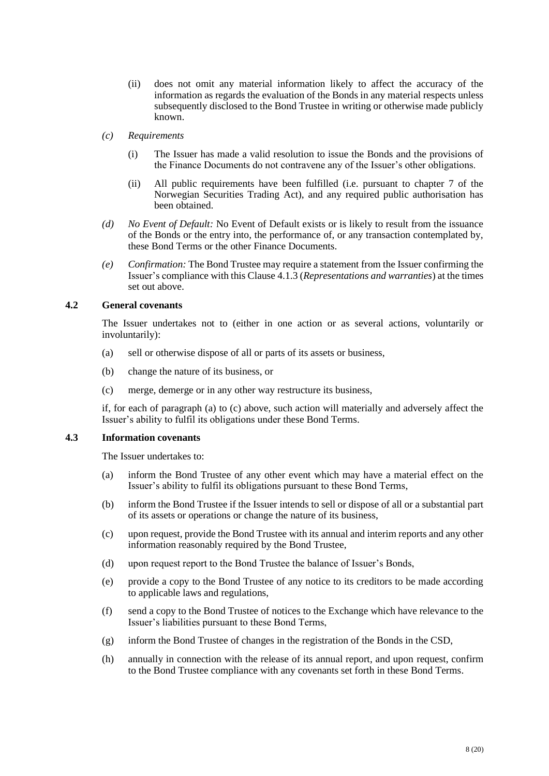- (ii) does not omit any material information likely to affect the accuracy of the information as regards the evaluation of the Bonds in any material respects unless subsequently disclosed to the Bond Trustee in writing or otherwise made publicly known.
- *(c) Requirements*
	- (i) The Issuer has made a valid resolution to issue the Bonds and the provisions of the Finance Documents do not contravene any of the Issuer's other obligations.
	- (ii) All public requirements have been fulfilled (i.e. pursuant to chapter 7 of the Norwegian Securities Trading Act), and any required public authorisation has been obtained.
- *(d) No Event of Default:* No Event of Default exists or is likely to result from the issuance of the Bonds or the entry into, the performance of, or any transaction contemplated by, these Bond Terms or the other Finance Documents.
- <span id="page-7-0"></span>*(e) Confirmation:* The Bond Trustee may require a statement from the Issuer confirming the Issuer's compliance with this Clause [4.1.3](#page-6-1) (*Representations and warranties*) at the times set out above.

## <span id="page-7-1"></span>**4.2 General covenants**

The Issuer undertakes not to (either in one action or as several actions, voluntarily or involuntarily):

- (a) sell or otherwise dispose of all or parts of its assets or business,
- (b) change the nature of its business, or
- (c) merge, demerge or in any other way restructure its business,

if, for each of paragraph (a) to (c) above, such action will materially and adversely affect the Issuer's ability to fulfil its obligations under these Bond Terms.

## <span id="page-7-2"></span>**4.3 Information covenants**

The Issuer undertakes to:

- (a) inform the Bond Trustee of any other event which may have a material effect on the Issuer's ability to fulfil its obligations pursuant to these Bond Terms,
- (b) inform the Bond Trustee if the Issuer intends to sell or dispose of all or a substantial part of its assets or operations or change the nature of its business,
- (c) upon request, provide the Bond Trustee with its annual and interim reports and any other information reasonably required by the Bond Trustee,
- (d) upon request report to the Bond Trustee the balance of Issuer's Bonds,
- (e) provide a copy to the Bond Trustee of any notice to its creditors to be made according to applicable laws and regulations,
- (f) send a copy to the Bond Trustee of notices to the Exchange which have relevance to the Issuer's liabilities pursuant to these Bond Terms,
- (g) inform the Bond Trustee of changes in the registration of the Bonds in the CSD,
- (h) annually in connection with the release of its annual report, and upon request, confirm to the Bond Trustee compliance with any covenants set forth in these Bond Terms.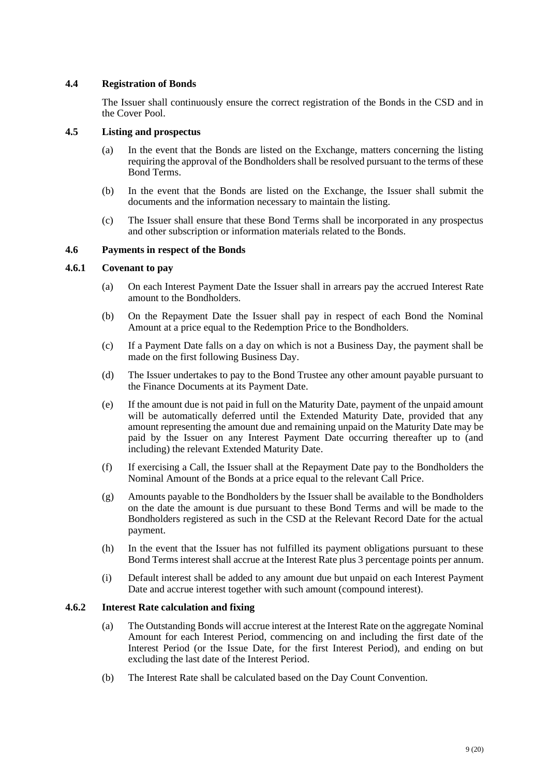## **4.4 Registration of Bonds**

The Issuer shall continuously ensure the correct registration of the Bonds in the CSD and in the Cover Pool.

## **4.5 Listing and prospectus**

- (a) In the event that the Bonds are listed on the Exchange, matters concerning the listing requiring the approval of the Bondholders shall be resolved pursuant to the terms of these Bond Terms.
- (b) In the event that the Bonds are listed on the Exchange, the Issuer shall submit the documents and the information necessary to maintain the listing.
- (c) The Issuer shall ensure that these Bond Terms shall be incorporated in any prospectus and other subscription or information materials related to the Bonds.

## <span id="page-8-0"></span>**4.6 Payments in respect of the Bonds**

## <span id="page-8-2"></span>**4.6.1 Covenant to pay**

- (a) On each Interest Payment Date the Issuer shall in arrears pay the accrued Interest Rate amount to the Bondholders.
- (b) On the Repayment Date the Issuer shall pay in respect of each Bond the Nominal Amount at a price equal to the Redemption Price to the Bondholders.
- (c) If a Payment Date falls on a day on which is not a Business Day, the payment shall be made on the first following Business Day.
- (d) The Issuer undertakes to pay to the Bond Trustee any other amount payable pursuant to the Finance Documents at its Payment Date.
- (e) If the amount due is not paid in full on the Maturity Date, payment of the unpaid amount will be automatically deferred until the Extended Maturity Date, provided that any amount representing the amount due and remaining unpaid on the Maturity Date may be paid by the Issuer on any Interest Payment Date occurring thereafter up to (and including) the relevant Extended Maturity Date.
- (f) If exercising a Call, the Issuer shall at the Repayment Date pay to the Bondholders the Nominal Amount of the Bonds at a price equal to the relevant Call Price.
- (g) Amounts payable to the Bondholders by the Issuer shall be available to the Bondholders on the date the amount is due pursuant to these Bond Terms and will be made to the Bondholders registered as such in the CSD at the Relevant Record Date for the actual payment.
- (h) In the event that the Issuer has not fulfilled its payment obligations pursuant to these Bond Terms interest shall accrue at the Interest Rate plus 3 percentage points per annum.
- (i) Default interest shall be added to any amount due but unpaid on each Interest Payment Date and accrue interest together with such amount (compound interest).

## <span id="page-8-1"></span>**4.6.2 Interest Rate calculation and fixing**

- (a) The Outstanding Bonds will accrue interest at the Interest Rate on the aggregate Nominal Amount for each Interest Period, commencing on and including the first date of the Interest Period (or the Issue Date, for the first Interest Period), and ending on but excluding the last date of the Interest Period.
- (b) The Interest Rate shall be calculated based on the Day Count Convention.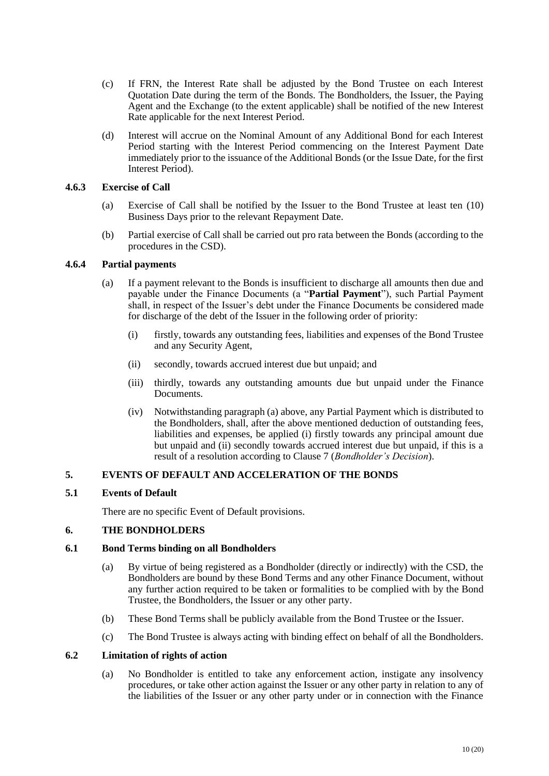- (c) If FRN, the Interest Rate shall be adjusted by the Bond Trustee on each Interest Quotation Date during the term of the Bonds. The Bondholders, the Issuer, the Paying Agent and the Exchange (to the extent applicable) shall be notified of the new Interest Rate applicable for the next Interest Period.
- (d) Interest will accrue on the Nominal Amount of any Additional Bond for each Interest Period starting with the Interest Period commencing on the Interest Payment Date immediately prior to the issuance of the Additional Bonds (or the Issue Date, for the first Interest Period).

## **4.6.3 Exercise of Call**

- (a) Exercise of Call shall be notified by the Issuer to the Bond Trustee at least ten (10) Business Days prior to the relevant Repayment Date.
- (b) Partial exercise of Call shall be carried out pro rata between the Bonds (according to the procedures in the CSD).

## **4.6.4 Partial payments**

- (a) If a payment relevant to the Bonds is insufficient to discharge all amounts then due and payable under the Finance Documents (a "**Partial Payment**"), such Partial Payment shall, in respect of the Issuer's debt under the Finance Documents be considered made for discharge of the debt of the Issuer in the following order of priority:
	- (i) firstly, towards any outstanding fees, liabilities and expenses of the Bond Trustee and any Security Agent,
	- (ii) secondly, towards accrued interest due but unpaid; and
	- (iii) thirdly, towards any outstanding amounts due but unpaid under the Finance Documents.
	- (iv) Notwithstanding paragraph (a) above, any Partial Payment which is distributed to the Bondholders, shall, after the above mentioned deduction of outstanding fees, liabilities and expenses, be applied (i) firstly towards any principal amount due but unpaid and (ii) secondly towards accrued interest due but unpaid, if this is a result of a resolution according to Clause 7 (*Bondholder's Decision*).

# **5. EVENTS OF DEFAULT AND ACCELERATION OF THE BONDS**

## **5.1 Events of Default**

There are no specific Event of Default provisions.

## **6. THE BONDHOLDERS**

## **6.1 Bond Terms binding on all Bondholders**

- (a) By virtue of being registered as a Bondholder (directly or indirectly) with the CSD, the Bondholders are bound by these Bond Terms and any other Finance Document, without any further action required to be taken or formalities to be complied with by the Bond Trustee, the Bondholders, the Issuer or any other party.
- (b) These Bond Terms shall be publicly available from the Bond Trustee or the Issuer.
- (c) The Bond Trustee is always acting with binding effect on behalf of all the Bondholders.

## **6.2 Limitation of rights of action**

(a) No Bondholder is entitled to take any enforcement action, instigate any insolvency procedures, or take other action against the Issuer or any other party in relation to any of the liabilities of the Issuer or any other party under or in connection with the Finance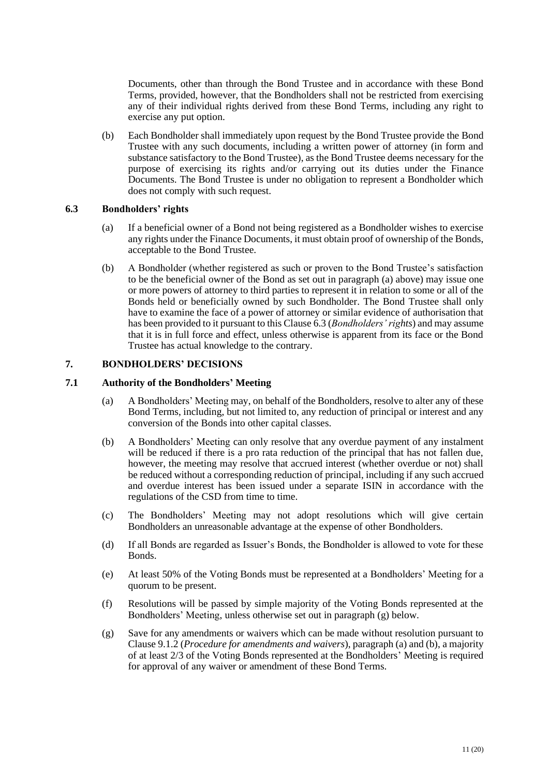Documents, other than through the Bond Trustee and in accordance with these Bond Terms, provided, however, that the Bondholders shall not be restricted from exercising any of their individual rights derived from these Bond Terms, including any right to exercise any put option.

(b) Each Bondholder shall immediately upon request by the Bond Trustee provide the Bond Trustee with any such documents, including a written power of attorney (in form and substance satisfactory to the Bond Trustee), as the Bond Trustee deems necessary for the purpose of exercising its rights and/or carrying out its duties under the Finance Documents. The Bond Trustee is under no obligation to represent a Bondholder which does not comply with such request.

## <span id="page-10-2"></span><span id="page-10-0"></span>**6.3 Bondholders' rights**

- (a) If a beneficial owner of a Bond not being registered as a Bondholder wishes to exercise any rights under the Finance Documents, it must obtain proof of ownership of the Bonds, acceptable to the Bond Trustee.
- (b) A Bondholder (whether registered as such or proven to the Bond Trustee's satisfaction to be the beneficial owner of the Bond as set out in paragraph [\(a\)](#page-10-2) above) may issue one or more powers of attorney to third parties to represent it in relation to some or all of the Bonds held or beneficially owned by such Bondholder. The Bond Trustee shall only have to examine the face of a power of attorney or similar evidence of authorisation that has been provided to it pursuant to this Clause [6.3](#page-10-0) (*Bondholders' rights*) and may assume that it is in full force and effect, unless otherwise is apparent from its face or the Bond Trustee has actual knowledge to the contrary.

## <span id="page-10-1"></span>**7. BONDHOLDERS' DECISIONS**

## <span id="page-10-4"></span>**7.1 Authority of the Bondholders' Meeting**

- (a) A Bondholders' Meeting may, on behalf of the Bondholders, resolve to alter any of these Bond Terms, including, but not limited to, any reduction of principal or interest and any conversion of the Bonds into other capital classes.
- (b) A Bondholders' Meeting can only resolve that any overdue payment of any instalment will be reduced if there is a pro rata reduction of the principal that has not fallen due, however, the meeting may resolve that accrued interest (whether overdue or not) shall be reduced without a corresponding reduction of principal, including if any such accrued and overdue interest has been issued under a separate ISIN in accordance with the regulations of the CSD from time to time.
- (c) The Bondholders' Meeting may not adopt resolutions which will give certain Bondholders an unreasonable advantage at the expense of other Bondholders.
- (d) If all Bonds are regarded as Issuer's Bonds, the Bondholder is allowed to vote for these Bonds.
- (e) At least 50% of the Voting Bonds must be represented at a Bondholders' Meeting for a quorum to be present.
- (f) Resolutions will be passed by simple majority of the Voting Bonds represented at the Bondholders' Meeting, unless otherwise set out in paragraph [\(g\)](#page-10-3) below.
- <span id="page-10-3"></span>(g) Save for any amendments or waivers which can be made without resolution pursuant to Claus[e 9.1.2](#page-17-0) (*Procedure for amendments and waivers*), paragraph (a) and (b), a majority of at least 2/3 of the Voting Bonds represented at the Bondholders' Meeting is required for approval of any waiver or amendment of these Bond Terms.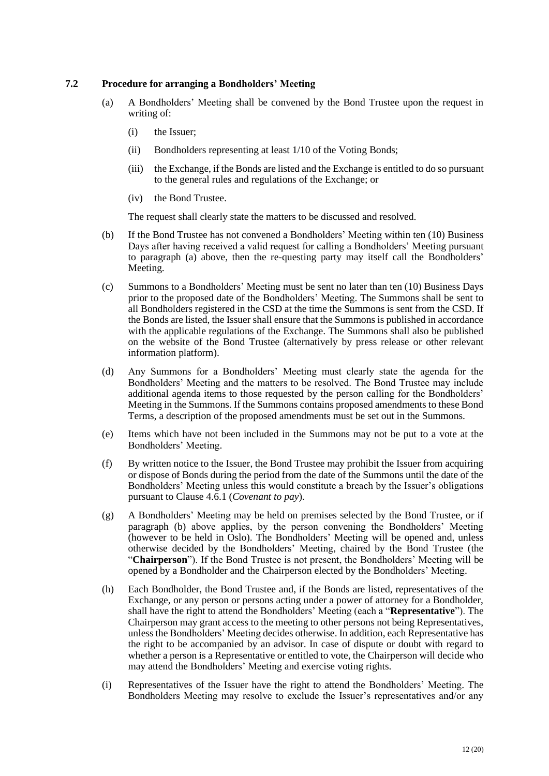## <span id="page-11-2"></span><span id="page-11-0"></span>**7.2 Procedure for arranging a Bondholders' Meeting**

- (a) A Bondholders' Meeting shall be convened by the Bond Trustee upon the request in writing of:
	- (i) the Issuer;
	- (ii) Bondholders representing at least 1/10 of the Voting Bonds;
	- (iii) the Exchange, if the Bonds are listed and the Exchange is entitled to do so pursuant to the general rules and regulations of the Exchange; or
	- (iv) the Bond Trustee.

The request shall clearly state the matters to be discussed and resolved.

- <span id="page-11-1"></span>(b) If the Bond Trustee has not convened a Bondholders' Meeting within ten (10) Business Days after having received a valid request for calling a Bondholders' Meeting pursuant to paragraph [\(a\)](#page-11-0) above, then the re-questing party may itself call the Bondholders' Meeting.
- (c) Summons to a Bondholders' Meeting must be sent no later than ten (10) Business Days prior to the proposed date of the Bondholders' Meeting. The Summons shall be sent to all Bondholders registered in the CSD at the time the Summons is sent from the CSD. If the Bonds are listed, the Issuer shall ensure that the Summons is published in accordance with the applicable regulations of the Exchange. The Summons shall also be published on the website of the Bond Trustee (alternatively by press release or other relevant information platform).
- (d) Any Summons for a Bondholders' Meeting must clearly state the agenda for the Bondholders' Meeting and the matters to be resolved. The Bond Trustee may include additional agenda items to those requested by the person calling for the Bondholders' Meeting in the Summons. If the Summons contains proposed amendments to these Bond Terms, a description of the proposed amendments must be set out in the Summons.
- (e) Items which have not been included in the Summons may not be put to a vote at the Bondholders' Meeting.
- (f) By written notice to the Issuer, the Bond Trustee may prohibit the Issuer from acquiring or dispose of Bonds during the period from the date of the Summons until the date of the Bondholders' Meeting unless this would constitute a breach by the Issuer's obligations pursuant to Clause [4.6.1](#page-8-2) (*Covenant to pay*).
- (g) A Bondholders' Meeting may be held on premises selected by the Bond Trustee, or if paragraph [\(b\)](#page-11-1) above applies, by the person convening the Bondholders' Meeting (however to be held in Oslo). The Bondholders' Meeting will be opened and, unless otherwise decided by the Bondholders' Meeting, chaired by the Bond Trustee (the "**Chairperson**"). If the Bond Trustee is not present, the Bondholders' Meeting will be opened by a Bondholder and the Chairperson elected by the Bondholders' Meeting.
- (h) Each Bondholder, the Bond Trustee and, if the Bonds are listed, representatives of the Exchange, or any person or persons acting under a power of attorney for a Bondholder, shall have the right to attend the Bondholders' Meeting (each a "**Representative**"). The Chairperson may grant access to the meeting to other persons not being Representatives, unless the Bondholders' Meeting decides otherwise. In addition, each Representative has the right to be accompanied by an advisor. In case of dispute or doubt with regard to whether a person is a Representative or entitled to vote, the Chairperson will decide who may attend the Bondholders' Meeting and exercise voting rights.
- (i) Representatives of the Issuer have the right to attend the Bondholders' Meeting. The Bondholders Meeting may resolve to exclude the Issuer's representatives and/or any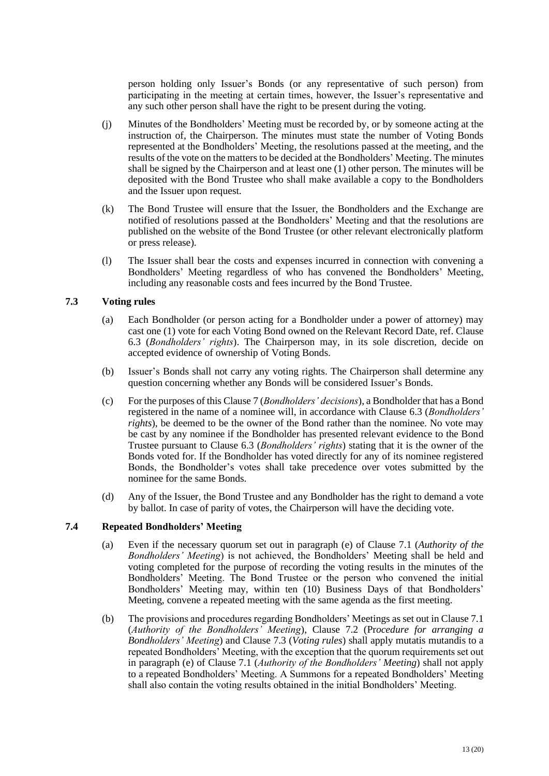person holding only Issuer's Bonds (or any representative of such person) from participating in the meeting at certain times, however, the Issuer's representative and any such other person shall have the right to be present during the voting.

- (j) Minutes of the Bondholders' Meeting must be recorded by, or by someone acting at the instruction of, the Chairperson. The minutes must state the number of Voting Bonds represented at the Bondholders' Meeting, the resolutions passed at the meeting, and the results of the vote on the matters to be decided at the Bondholders' Meeting. The minutes shall be signed by the Chairperson and at least one (1) other person. The minutes will be deposited with the Bond Trustee who shall make available a copy to the Bondholders and the Issuer upon request.
- (k) The Bond Trustee will ensure that the Issuer, the Bondholders and the Exchange are notified of resolutions passed at the Bondholders' Meeting and that the resolutions are published on the website of the Bond Trustee (or other relevant electronically platform or press release).
- (l) The Issuer shall bear the costs and expenses incurred in connection with convening a Bondholders' Meeting regardless of who has convened the Bondholders' Meeting, including any reasonable costs and fees incurred by the Bond Trustee.

## <span id="page-12-0"></span>**7.3 Voting rules**

- (a) Each Bondholder (or person acting for a Bondholder under a power of attorney) may cast one (1) vote for each Voting Bond owned on the Relevant Record Date, ref. Clause [6.3](#page-10-0) (*Bondholders' rights*). The Chairperson may, in its sole discretion, decide on accepted evidence of ownership of Voting Bonds.
- (b) Issuer's Bonds shall not carry any voting rights. The Chairperson shall determine any question concerning whether any Bonds will be considered Issuer's Bonds.
- (c) For the purposes of this Claus[e 7](#page-10-1) (*Bondholders' decisions*), a Bondholder that has a Bond registered in the name of a nominee will, in accordance with Clause [6.3](#page-10-0) (*Bondholders' rights*), be deemed to be the owner of the Bond rather than the nominee. No vote may be cast by any nominee if the Bondholder has presented relevant evidence to the Bond Trustee pursuant to Clause [6.3](#page-10-0) (*Bondholders' rights*) stating that it is the owner of the Bonds voted for. If the Bondholder has voted directly for any of its nominee registered Bonds, the Bondholder's votes shall take precedence over votes submitted by the nominee for the same Bonds.
- (d) Any of the Issuer, the Bond Trustee and any Bondholder has the right to demand a vote by ballot. In case of parity of votes, the Chairperson will have the deciding vote.

## <span id="page-12-1"></span>**7.4 Repeated Bondholders' Meeting**

- (a) Even if the necessary quorum set out in paragraph (e) of Clause [7.1](#page-10-4) (*Authority of the Bondholders' Meeting*) is not achieved, the Bondholders' Meeting shall be held and voting completed for the purpose of recording the voting results in the minutes of the Bondholders' Meeting. The Bond Trustee or the person who convened the initial Bondholders' Meeting may, within ten (10) Business Days of that Bondholders' Meeting, convene a repeated meeting with the same agenda as the first meeting.
- (b) The provisions and procedures regarding Bondholders' Meetings as set out in Claus[e 7.1](#page-10-4) (*Authority of the Bondholders' Meeting*), Clause [7.2](#page-11-2) (Pr*ocedure for arranging a Bondholders' Meeting*) and Clause [7.3](#page-12-0) (*Voting rules*) shall apply mutatis mutandis to a repeated Bondholders' Meeting, with the exception that the quorum requirements set out in paragraph (e) of Clause [7.1](#page-10-4) (*Authority of the Bondholders' Meeting*) shall not apply to a repeated Bondholders' Meeting. A Summons for a repeated Bondholders' Meeting shall also contain the voting results obtained in the initial Bondholders' Meeting.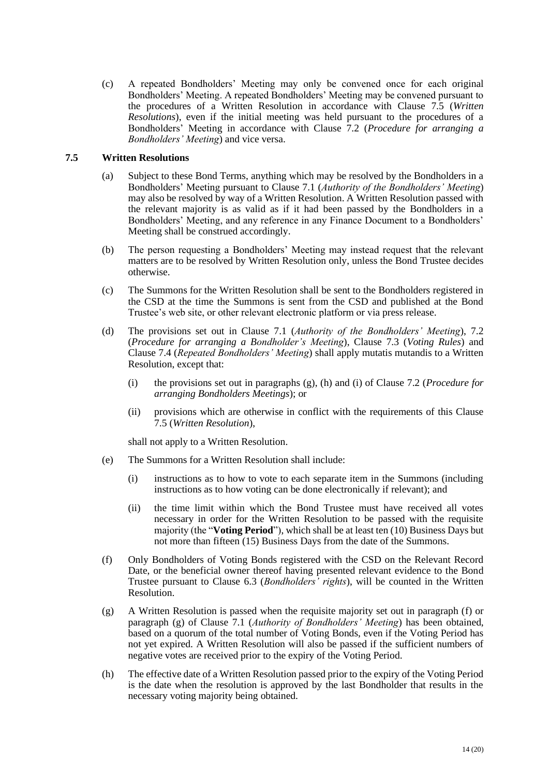(c) A repeated Bondholders' Meeting may only be convened once for each original Bondholders' Meeting. A repeated Bondholders' Meeting may be convened pursuant to the procedures of a Written Resolution in accordance with Clause [7.5](#page-13-0) (*Written Resolutions*), even if the initial meeting was held pursuant to the procedures of a Bondholders' Meeting in accordance with Clause [7.2](#page-11-2) (*Procedure for arranging a Bondholders' Meeting*) and vice versa.

#### <span id="page-13-0"></span>**7.5 Written Resolutions**

- (a) Subject to these Bond Terms, anything which may be resolved by the Bondholders in a Bondholders' Meeting pursuant to Clause [7.1](#page-10-4) (*Authority of the Bondholders' Meeting*) may also be resolved by way of a Written Resolution. A Written Resolution passed with the relevant majority is as valid as if it had been passed by the Bondholders in a Bondholders' Meeting, and any reference in any Finance Document to a Bondholders' Meeting shall be construed accordingly.
- (b) The person requesting a Bondholders' Meeting may instead request that the relevant matters are to be resolved by Written Resolution only, unless the Bond Trustee decides otherwise.
- (c) The Summons for the Written Resolution shall be sent to the Bondholders registered in the CSD at the time the Summons is sent from the CSD and published at the Bond Trustee's web site, or other relevant electronic platform or via press release.
- (d) The provisions set out in Clause [7.1](#page-10-4) (*Authority of the Bondholders' Meeting*), [7.2](#page-11-2) (*Procedure for arranging a Bondholder's Meeting*), Clause [7.3](#page-12-0) (*Voting Rules*) and Clause [7.4](#page-12-1) (*Repeated Bondholders' Meeting*) shall apply mutatis mutandis to a Written Resolution, except that:
	- (i) the provisions set out in paragraphs (g), (h) and (i) of Clause [7.2](#page-11-2) (*Procedure for arranging Bondholders Meetings*); or
	- (ii) provisions which are otherwise in conflict with the requirements of this Clause [7.5](#page-13-0) (*Written Resolution*),

shall not apply to a Written Resolution.

- (e) The Summons for a Written Resolution shall include:
	- (i) instructions as to how to vote to each separate item in the Summons (including instructions as to how voting can be done electronically if relevant); and
	- (ii) the time limit within which the Bond Trustee must have received all votes necessary in order for the Written Resolution to be passed with the requisite majority (the "**Voting Period**"), which shall be at least ten (10) Business Days but not more than fifteen (15) Business Days from the date of the Summons.
- (f) Only Bondholders of Voting Bonds registered with the CSD on the Relevant Record Date, or the beneficial owner thereof having presented relevant evidence to the Bond Trustee pursuant to Clause [6.3](#page-10-0) (*Bondholders' rights*), will be counted in the Written Resolution.
- (g) A Written Resolution is passed when the requisite majority set out in paragraph (f) or paragraph (g) of Clause [7.1](#page-10-4) (*Authority of Bondholders' Meeting*) has been obtained, based on a quorum of the total number of Voting Bonds, even if the Voting Period has not yet expired. A Written Resolution will also be passed if the sufficient numbers of negative votes are received prior to the expiry of the Voting Period.
- (h) The effective date of a Written Resolution passed prior to the expiry of the Voting Period is the date when the resolution is approved by the last Bondholder that results in the necessary voting majority being obtained.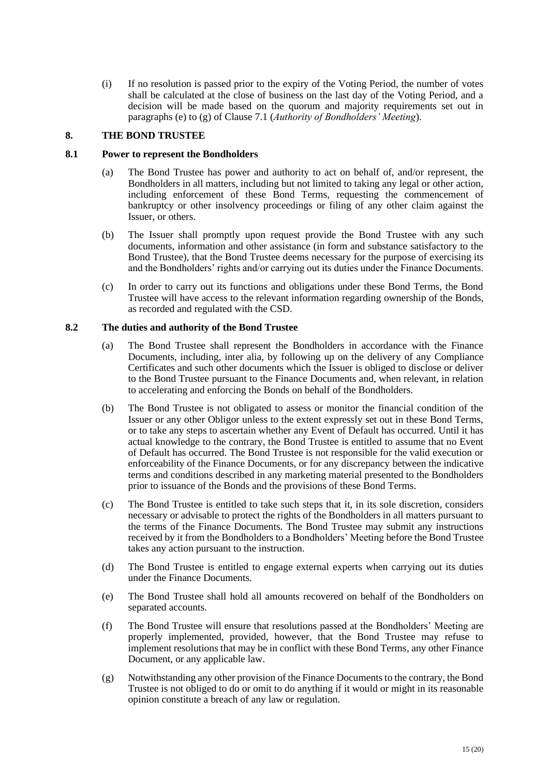(i) If no resolution is passed prior to the expiry of the Voting Period, the number of votes shall be calculated at the close of business on the last day of the Voting Period, and a decision will be made based on the quorum and majority requirements set out in paragraphs (e) to (g) of Clause [7.1](#page-10-4) (*Authority of Bondholders' Meeting*).

#### **8. THE BOND TRUSTEE**

#### **8.1 Power to represent the Bondholders**

- (a) The Bond Trustee has power and authority to act on behalf of, and/or represent, the Bondholders in all matters, including but not limited to taking any legal or other action, including enforcement of these Bond Terms, requesting the commencement of bankruptcy or other insolvency proceedings or filing of any other claim against the Issuer, or others.
- (b) The Issuer shall promptly upon request provide the Bond Trustee with any such documents, information and other assistance (in form and substance satisfactory to the Bond Trustee), that the Bond Trustee deems necessary for the purpose of exercising its and the Bondholders' rights and/or carrying out its duties under the Finance Documents.
- (c) In order to carry out its functions and obligations under these Bond Terms, the Bond Trustee will have access to the relevant information regarding ownership of the Bonds, as recorded and regulated with the CSD.

## <span id="page-14-0"></span>**8.2 The duties and authority of the Bond Trustee**

- (a) The Bond Trustee shall represent the Bondholders in accordance with the Finance Documents, including, inter alia, by following up on the delivery of any Compliance Certificates and such other documents which the Issuer is obliged to disclose or deliver to the Bond Trustee pursuant to the Finance Documents and, when relevant, in relation to accelerating and enforcing the Bonds on behalf of the Bondholders.
- (b) The Bond Trustee is not obligated to assess or monitor the financial condition of the Issuer or any other Obligor unless to the extent expressly set out in these Bond Terms, or to take any steps to ascertain whether any Event of Default has occurred. Until it has actual knowledge to the contrary, the Bond Trustee is entitled to assume that no Event of Default has occurred. The Bond Trustee is not responsible for the valid execution or enforceability of the Finance Documents, or for any discrepancy between the indicative terms and conditions described in any marketing material presented to the Bondholders prior to issuance of the Bonds and the provisions of these Bond Terms.
- (c) The Bond Trustee is entitled to take such steps that it, in its sole discretion, considers necessary or advisable to protect the rights of the Bondholders in all matters pursuant to the terms of the Finance Documents. The Bond Trustee may submit any instructions received by it from the Bondholders to a Bondholders' Meeting before the Bond Trustee takes any action pursuant to the instruction.
- (d) The Bond Trustee is entitled to engage external experts when carrying out its duties under the Finance Documents.
- (e) The Bond Trustee shall hold all amounts recovered on behalf of the Bondholders on separated accounts.
- (f) The Bond Trustee will ensure that resolutions passed at the Bondholders' Meeting are properly implemented, provided, however, that the Bond Trustee may refuse to implement resolutions that may be in conflict with these Bond Terms, any other Finance Document, or any applicable law.
- (g) Notwithstanding any other provision of the Finance Documents to the contrary, the Bond Trustee is not obliged to do or omit to do anything if it would or might in its reasonable opinion constitute a breach of any law or regulation.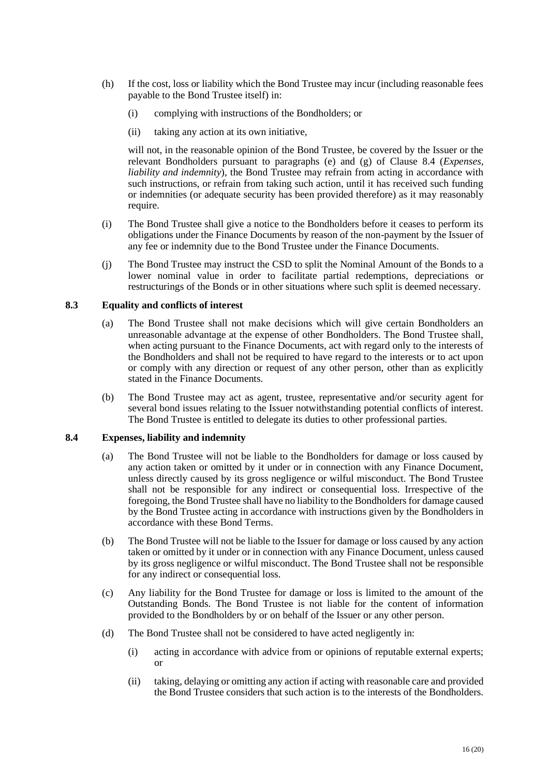- (h) If the cost, loss or liability which the Bond Trustee may incur (including reasonable fees payable to the Bond Trustee itself) in:
	- (i) complying with instructions of the Bondholders; or
	- (ii) taking any action at its own initiative,

will not, in the reasonable opinion of the Bond Trustee, be covered by the Issuer or the relevant Bondholders pursuant to paragraphs (e) and (g) of Clause [8.4](#page-15-0) (*Expenses, liability and indemnity*), the Bond Trustee may refrain from acting in accordance with such instructions, or refrain from taking such action, until it has received such funding or indemnities (or adequate security has been provided therefore) as it may reasonably require.

- (i) The Bond Trustee shall give a notice to the Bondholders before it ceases to perform its obligations under the Finance Documents by reason of the non-payment by the Issuer of any fee or indemnity due to the Bond Trustee under the Finance Documents.
- (j) The Bond Trustee may instruct the CSD to split the Nominal Amount of the Bonds to a lower nominal value in order to facilitate partial redemptions, depreciations or restructurings of the Bonds or in other situations where such split is deemed necessary.

## **8.3 Equality and conflicts of interest**

- (a) The Bond Trustee shall not make decisions which will give certain Bondholders an unreasonable advantage at the expense of other Bondholders. The Bond Trustee shall, when acting pursuant to the Finance Documents, act with regard only to the interests of the Bondholders and shall not be required to have regard to the interests or to act upon or comply with any direction or request of any other person, other than as explicitly stated in the Finance Documents.
- (b) The Bond Trustee may act as agent, trustee, representative and/or security agent for several bond issues relating to the Issuer notwithstanding potential conflicts of interest. The Bond Trustee is entitled to delegate its duties to other professional parties.

## <span id="page-15-0"></span>**8.4 Expenses, liability and indemnity**

- (a) The Bond Trustee will not be liable to the Bondholders for damage or loss caused by any action taken or omitted by it under or in connection with any Finance Document, unless directly caused by its gross negligence or wilful misconduct. The Bond Trustee shall not be responsible for any indirect or consequential loss. Irrespective of the foregoing, the Bond Trustee shall have no liability to the Bondholders for damage caused by the Bond Trustee acting in accordance with instructions given by the Bondholders in accordance with these Bond Terms.
- (b) The Bond Trustee will not be liable to the Issuer for damage or loss caused by any action taken or omitted by it under or in connection with any Finance Document, unless caused by its gross negligence or wilful misconduct. The Bond Trustee shall not be responsible for any indirect or consequential loss.
- (c) Any liability for the Bond Trustee for damage or loss is limited to the amount of the Outstanding Bonds. The Bond Trustee is not liable for the content of information provided to the Bondholders by or on behalf of the Issuer or any other person.
- (d) The Bond Trustee shall not be considered to have acted negligently in:
	- (i) acting in accordance with advice from or opinions of reputable external experts; or
	- (ii) taking, delaying or omitting any action if acting with reasonable care and provided the Bond Trustee considers that such action is to the interests of the Bondholders.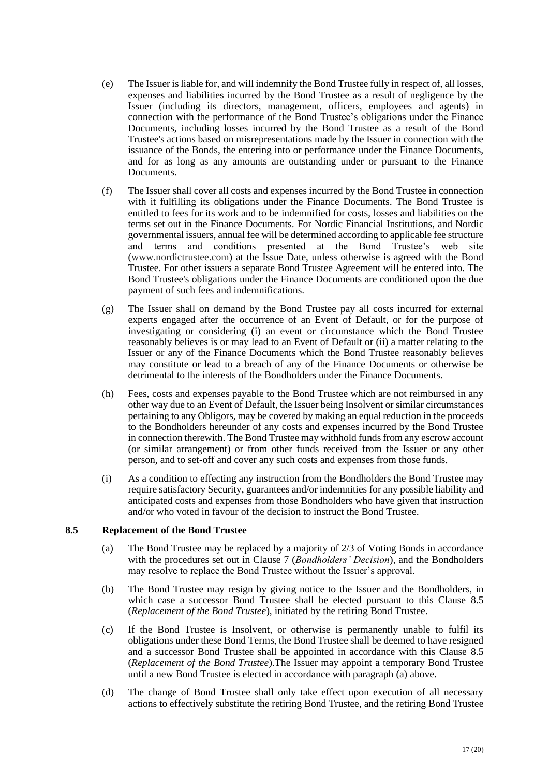- (e) The Issuer is liable for, and will indemnify the Bond Trustee fully in respect of, all losses, expenses and liabilities incurred by the Bond Trustee as a result of negligence by the Issuer (including its directors, management, officers, employees and agents) in connection with the performance of the Bond Trustee's obligations under the Finance Documents, including losses incurred by the Bond Trustee as a result of the Bond Trustee's actions based on misrepresentations made by the Issuer in connection with the issuance of the Bonds, the entering into or performance under the Finance Documents, and for as long as any amounts are outstanding under or pursuant to the Finance Documents.
- (f) The Issuer shall cover all costs and expenses incurred by the Bond Trustee in connection with it fulfilling its obligations under the Finance Documents. The Bond Trustee is entitled to fees for its work and to be indemnified for costs, losses and liabilities on the terms set out in the Finance Documents. For Nordic Financial Institutions, and Nordic governmental issuers, annual fee will be determined according to applicable fee structure and terms and conditions presented at the Bond Trustee's web site [\(www.nordictrustee.com\)](http://www.nordictrustee.no/) at the Issue Date, unless otherwise is agreed with the Bond Trustee. For other issuers a separate Bond Trustee Agreement will be entered into. The Bond Trustee's obligations under the Finance Documents are conditioned upon the due payment of such fees and indemnifications.
- (g) The Issuer shall on demand by the Bond Trustee pay all costs incurred for external experts engaged after the occurrence of an Event of Default, or for the purpose of investigating or considering (i) an event or circumstance which the Bond Trustee reasonably believes is or may lead to an Event of Default or (ii) a matter relating to the Issuer or any of the Finance Documents which the Bond Trustee reasonably believes may constitute or lead to a breach of any of the Finance Documents or otherwise be detrimental to the interests of the Bondholders under the Finance Documents.
- (h) Fees, costs and expenses payable to the Bond Trustee which are not reimbursed in any other way due to an Event of Default, the Issuer being Insolvent or similar circumstances pertaining to any Obligors, may be covered by making an equal reduction in the proceeds to the Bondholders hereunder of any costs and expenses incurred by the Bond Trustee in connection therewith. The Bond Trustee may withhold funds from any escrow account (or similar arrangement) or from other funds received from the Issuer or any other person, and to set-off and cover any such costs and expenses from those funds.
- (i) As a condition to effecting any instruction from the Bondholders the Bond Trustee may require satisfactory Security, guarantees and/or indemnities for any possible liability and anticipated costs and expenses from those Bondholders who have given that instruction and/or who voted in favour of the decision to instruct the Bond Trustee.

## <span id="page-16-1"></span><span id="page-16-0"></span>**8.5 Replacement of the Bond Trustee**

- (a) The Bond Trustee may be replaced by a majority of 2/3 of Voting Bonds in accordance with the procedures set out in Clause [7](#page-10-1) (*Bondholders' Decision*), and the Bondholders may resolve to replace the Bond Trustee without the Issuer's approval.
- (b) The Bond Trustee may resign by giving notice to the Issuer and the Bondholders, in which case a successor Bond Trustee shall be elected pursuant to this Clause [8.5](#page-16-0) (*Replacement of the Bond Trustee*), initiated by the retiring Bond Trustee.
- (c) If the Bond Trustee is Insolvent, or otherwise is permanently unable to fulfil its obligations under these Bond Terms, the Bond Trustee shall be deemed to have resigned and a successor Bond Trustee shall be appointed in accordance with this Clause [8.5](#page-16-0) (*Replacement of the Bond Trustee*).The Issuer may appoint a temporary Bond Trustee until a new Bond Trustee is elected in accordance with paragraph [\(a\)](#page-16-1) above.
- (d) The change of Bond Trustee shall only take effect upon execution of all necessary actions to effectively substitute the retiring Bond Trustee, and the retiring Bond Trustee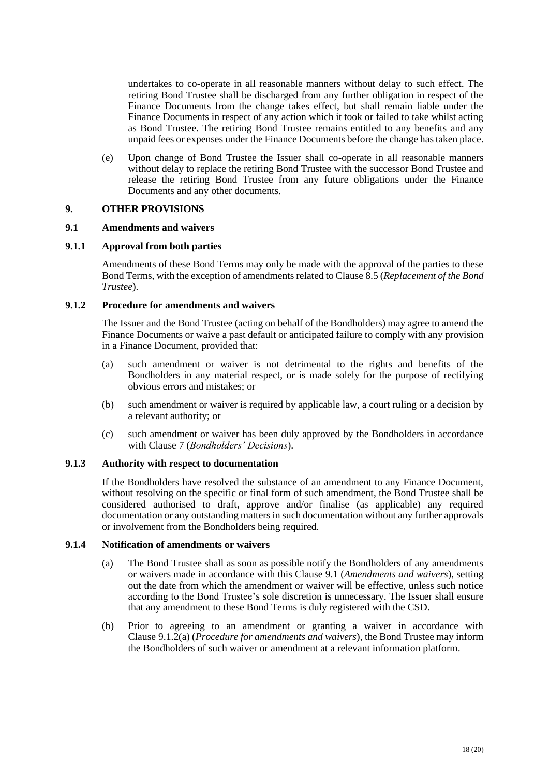undertakes to co-operate in all reasonable manners without delay to such effect. The retiring Bond Trustee shall be discharged from any further obligation in respect of the Finance Documents from the change takes effect, but shall remain liable under the Finance Documents in respect of any action which it took or failed to take whilst acting as Bond Trustee. The retiring Bond Trustee remains entitled to any benefits and any unpaid fees or expenses under the Finance Documents before the change has taken place.

(e) Upon change of Bond Trustee the Issuer shall co-operate in all reasonable manners without delay to replace the retiring Bond Trustee with the successor Bond Trustee and release the retiring Bond Trustee from any future obligations under the Finance Documents and any other documents.

#### **9. OTHER PROVISIONS**

#### <span id="page-17-1"></span>**9.1 Amendments and waivers**

#### **9.1.1 Approval from both parties**

Amendments of these Bond Terms may only be made with the approval of the parties to these Bond Terms, with the exception of amendments related to Claus[e 8.5](#page-16-0) (*Replacement of the Bond Trustee*).

#### <span id="page-17-0"></span>**9.1.2 Procedure for amendments and waivers**

The Issuer and the Bond Trustee (acting on behalf of the Bondholders) may agree to amend the Finance Documents or waive a past default or anticipated failure to comply with any provision in a Finance Document, provided that:

- <span id="page-17-2"></span>(a) such amendment or waiver is not detrimental to the rights and benefits of the Bondholders in any material respect, or is made solely for the purpose of rectifying obvious errors and mistakes; or
- (b) such amendment or waiver is required by applicable law, a court ruling or a decision by a relevant authority; or
- (c) such amendment or waiver has been duly approved by the Bondholders in accordance with Clause [7](#page-10-1) (*Bondholders' Decisions*).

#### **9.1.3 Authority with respect to documentation**

If the Bondholders have resolved the substance of an amendment to any Finance Document, without resolving on the specific or final form of such amendment, the Bond Trustee shall be considered authorised to draft, approve and/or finalise (as applicable) any required documentation or any outstanding matters in such documentation without any further approvals or involvement from the Bondholders being required.

## **9.1.4 Notification of amendments or waivers**

- (a) The Bond Trustee shall as soon as possible notify the Bondholders of any amendments or waivers made in accordance with this Clause [9.1](#page-17-1) (*Amendments and waivers*), setting out the date from which the amendment or waiver will be effective, unless such notice according to the Bond Trustee's sole discretion is unnecessary. The Issuer shall ensure that any amendment to these Bond Terms is duly registered with the CSD.
- (b) Prior to agreeing to an amendment or granting a waiver in accordance with Clause [9.1.2\(a\)](#page-17-2) (*Procedure for amendments and waivers*), the Bond Trustee may inform the Bondholders of such waiver or amendment at a relevant information platform.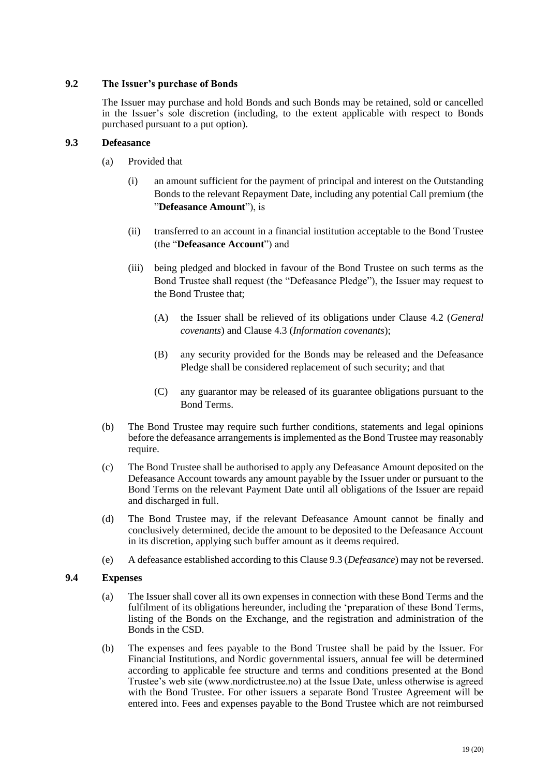## **9.2 The Issuer's purchase of Bonds**

The Issuer may purchase and hold Bonds and such Bonds may be retained, sold or cancelled in the Issuer's sole discretion (including, to the extent applicable with respect to Bonds purchased pursuant to a put option).

## <span id="page-18-0"></span>**9.3 Defeasance**

- (a) Provided that
	- (i) an amount sufficient for the payment of principal and interest on the Outstanding Bonds to the relevant Repayment Date, including any potential Call premium (the "**Defeasance Amount**"), is
	- (ii) transferred to an account in a financial institution acceptable to the Bond Trustee (the "**Defeasance Account**") and
	- (iii) being pledged and blocked in favour of the Bond Trustee on such terms as the Bond Trustee shall request (the "Defeasance Pledge"), the Issuer may request to the Bond Trustee that;
		- (A) the Issuer shall be relieved of its obligations under Clause [4.2](#page-7-1) (*General covenants*) and Clause [4.3](#page-7-2) (*Information covenants*);
		- (B) any security provided for the Bonds may be released and the Defeasance Pledge shall be considered replacement of such security; and that
		- (C) any guarantor may be released of its guarantee obligations pursuant to the Bond Terms.
- (b) The Bond Trustee may require such further conditions, statements and legal opinions before the defeasance arrangements is implemented as the Bond Trustee may reasonably require.
- (c) The Bond Trustee shall be authorised to apply any Defeasance Amount deposited on the Defeasance Account towards any amount payable by the Issuer under or pursuant to the Bond Terms on the relevant Payment Date until all obligations of the Issuer are repaid and discharged in full.
- (d) The Bond Trustee may, if the relevant Defeasance Amount cannot be finally and conclusively determined, decide the amount to be deposited to the Defeasance Account in its discretion, applying such buffer amount as it deems required.
- (e) A defeasance established according to this Claus[e 9.3](#page-18-0) (*Defeasance*) may not be reversed.

## **9.4 Expenses**

- (a) The Issuer shall cover all its own expenses in connection with these Bond Terms and the fulfilment of its obligations hereunder, including the 'preparation of these Bond Terms, listing of the Bonds on the Exchange, and the registration and administration of the Bonds in the CSD.
- (b) The expenses and fees payable to the Bond Trustee shall be paid by the Issuer. For Financial Institutions, and Nordic governmental issuers, annual fee will be determined according to applicable fee structure and terms and conditions presented at the Bond Trustee's web site (www.nordictrustee.no) at the Issue Date, unless otherwise is agreed with the Bond Trustee. For other issuers a separate Bond Trustee Agreement will be entered into. Fees and expenses payable to the Bond Trustee which are not reimbursed